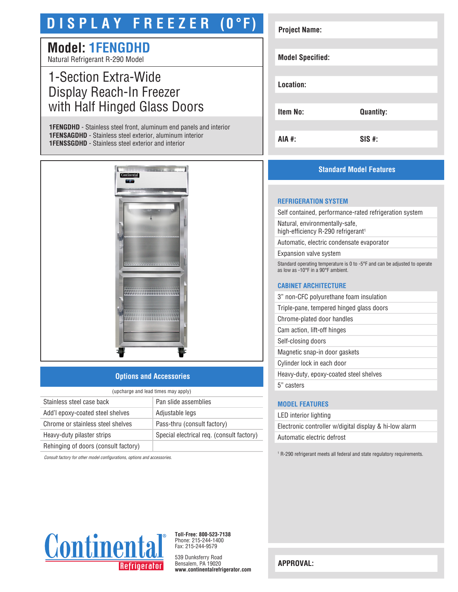# **D I S P L A Y F R E E Z E R (0°F)**

## **Model: 1FENGDHD**

Natural Refrigerant R-290 Model

### 1-Section Extra-Wide Display Reach-In Freezer with Half Hinged Glass Doors

**1FENGDHD** - Stainless steel front, aluminum end panels and interior **1FENSAGDHD** - Stainless steel exterior, aluminum interior **1FENSSGDHD** - Stainless steel exterior and interior



#### **Options and Accessories**

| (upcharge and lead times may apply)  |                                           |  |
|--------------------------------------|-------------------------------------------|--|
| Stainless steel case back            | Pan slide assemblies                      |  |
| Add'l epoxy-coated steel shelves     | Adjustable legs                           |  |
| Chrome or stainless steel shelves    | Pass-thru (consult factory)               |  |
| Heavy-duty pilaster strips           | Special electrical req. (consult factory) |  |
| Rehinging of doors (consult factory) |                                           |  |

*Consult factory for other model configurations, options and accessories.*

| <b>Project Name:</b>    |                  |
|-------------------------|------------------|
|                         |                  |
| <b>Model Specified:</b> |                  |
|                         |                  |
| Location:               |                  |
|                         |                  |
| <b>Item No:</b>         | <b>Quantity:</b> |
|                         |                  |
| <b>AIA #:</b>           | $SIS$ #:         |

#### **Standard Model Features**

#### **REFRIGERATION SYSTEM**

Self contained, performance-rated refrigeration system

Natural, environmentally-safe, high-efficiency R-290 refrigerant<sup>1</sup>

Automatic, electric condensate evaporator

Expansion valve system

Standard operating temperature is 0 to -5°F and can be adjusted to operate as low as -10°F in a 90°F ambient.

#### **CABINET ARCHITECTURE**

3" non-CFC polyurethane foam insulation

Triple-pane, tempered hinged glass doors

Chrome-plated door handles

Cam action, lift-off hinges

Self-closing doors

Magnetic snap-in door gaskets

Cylinder lock in each door

Heavy-duty, epoxy-coated steel shelves

5" casters

#### **MODEL FEATURES**

LED interior lighting Electronic controller w/digital display & hi-low alarm Automatic electric defrost

<sup>1</sup> R-290 refrigerant meets all federal and state regulatory requirements.



**Toll-Free: 800-523-7138** Phone: 215-244-1400 Fax: 215-244-9579

539 Dunksferry Road Bensalem, PA 19020 **www.continentalrefrigerator.com** 

**APPROVAL:**